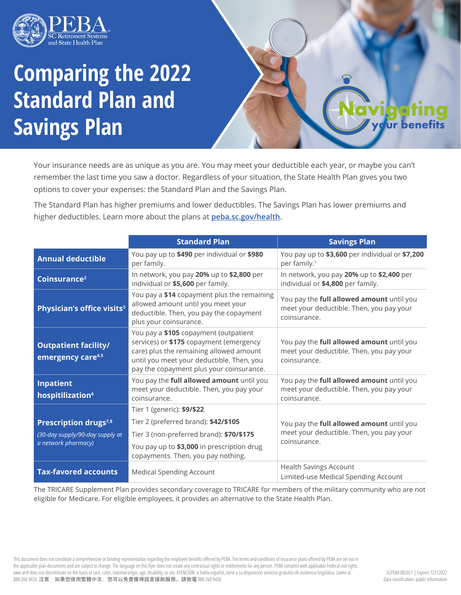

## **Comparing the 2022 Standard Plan and Savings Plan**

Your insurance needs are as unique as you are. You may meet your deductible each year, or maybe you can't remember the last time you saw a doctor. Regardless of your situation, the State Health Plan gives you two options to cover your expenses: the Standard Plan and the Savings Plan.

The Standard Plan has higher premiums and lower deductibles. The Savings Plan has lower premiums and higher deductibles. Learn more about the plans at **peba.sc.gov/health**.

|                                                              | <b>Standard Plan</b>                                                                                                                                                                                                 | <b>Savings Plan</b>                                                                                   |  |
|--------------------------------------------------------------|----------------------------------------------------------------------------------------------------------------------------------------------------------------------------------------------------------------------|-------------------------------------------------------------------------------------------------------|--|
| <b>Annual deductible</b>                                     | You pay up to \$490 per individual or \$980<br>per family.                                                                                                                                                           | You pay up to \$3,600 per individual or \$7,200<br>per family. <sup>1</sup>                           |  |
| Coinsurance <sup>2</sup>                                     | In network, you pay 20% up to \$2,800 per<br>individual or \$5,600 per family.                                                                                                                                       | In network, you pay 20% up to \$2,400 per<br>individual or \$4,800 per family.                        |  |
| Physician's office visits <sup>3</sup>                       | You pay a \$14 copayment plus the remaining<br>allowed amount until you meet your<br>deductible. Then, you pay the copayment<br>plus your coinsurance.                                                               | You pay the full allowed amount until you<br>meet your deductible. Then, you pay your<br>coinsurance. |  |
| <b>Outpatient facility/</b><br>emergency care <sup>4,5</sup> | You pay a \$105 copayment (outpatient<br>services) or \$175 copayment (emergency<br>care) plus the remaining allowed amount<br>until you meet your deductible. Then, you<br>pay the copayment plus your coinsurance. | You pay the full allowed amount until you<br>meet your deductible. Then, you pay your<br>coinsurance. |  |
| Inpatient<br>hospitilization <sup>6</sup>                    | You pay the full allowed amount until you<br>You pay the full allowed amount until you<br>meet your deductible. Then, you pay your<br>meet your deductible. Then, you pay your<br>coinsurance.<br>coinsurance.       |                                                                                                       |  |
|                                                              | Tier 1 (generic): \$9/\$22                                                                                                                                                                                           |                                                                                                       |  |
| Prescription drugs <sup>7,8</sup>                            | Tier 2 (preferred brand): \$42/\$105                                                                                                                                                                                 | You pay the full allowed amount until you<br>meet your deductible. Then, you pay your<br>coinsurance. |  |
| (30-day supply/90-day supply at<br>a network pharmacy)       | Tier 3 (non-preferred brand): \$70/\$175                                                                                                                                                                             |                                                                                                       |  |
|                                                              | You pay up to \$3,000 in prescription drug<br>copayments. Then, you pay nothing.                                                                                                                                     |                                                                                                       |  |
| <b>Tax-favored accounts</b>                                  | <b>Medical Spending Account</b>                                                                                                                                                                                      | <b>Health Savings Account</b><br>Limited-use Medical Spending Account                                 |  |

The TRICARE Supplement Plan provides secondary coverage to TRICARE for members of the military community who are not eligible for Medicare. For eligible employees, it provides an alternative to the State Health Plan.

This document does not constitute a comprehensive or binding representation regarding the employee benefits offered by PEBA. The terms and conditions of insurance plans offered by PEBA are set out in the applicable plan documents and are subject to change. The language on this flyer does not create any contractual rights or entitlements for any person. PEBA complies with applicable Federal civil rights laws and does not discriminate on the basis of race, color, national origin, age, disability, or sex. ATENCIÓN: si habla español, tiene a su disposición servicios gratuitos de asistencia lingüística. Llame al 888.260.9430. 注意:如果您使用繁體中文,您可以免費獲得語言援助服務。請致電 888.260.9430

ur ber